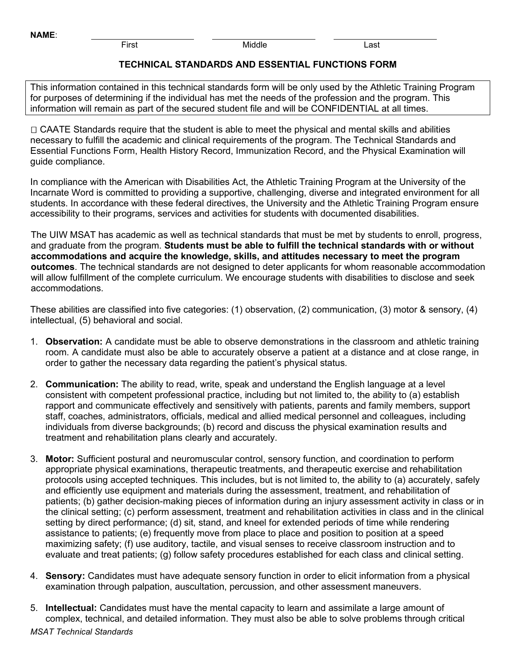First Middle Last

## **TECHNICAL STANDARDS AND ESSENTIAL FUNCTIONS FORM**

This information contained in this technical standards form will be only used by the Athletic Training Program for purposes of determining if the individual has met the needs of the profession and the program. This information will remain as part of the secured student file and will be CONFIDENTIAL at all times.

□ CAATE Standards require that the student is able to meet the physical and mental skills and abilities necessary to fulfill the academic and clinical requirements of the program. The Technical Standards and Essential Functions Form, Health History Record, Immunization Record, and the Physical Examination will guide compliance.

In compliance with the American with Disabilities Act, the Athletic Training Program at the University of the Incarnate Word is committed to providing a supportive, challenging, diverse and integrated environment for all students. In accordance with these federal directives, the University and the Athletic Training Program ensure accessibility to their programs, services and activities for students with documented disabilities.

The UIW MSAT has academic as well as technical standards that must be met by students to enroll, progress, and graduate from the program. **Students must be able to fulfill the technical standards with or without accommodations and acquire the knowledge, skills, and attitudes necessary to meet the program outcomes**. The technical standards are not designed to deter applicants for whom reasonable accommodation will allow fulfillment of the complete curriculum. We encourage students with disabilities to disclose and seek accommodations.

These abilities are classified into five categories: (1) observation, (2) communication, (3) motor & sensory, (4) intellectual, (5) behavioral and social.

- 1. **Observation:** A candidate must be able to observe demonstrations in the classroom and athletic training room. A candidate must also be able to accurately observe a patient at a distance and at close range, in order to gather the necessary data regarding the patient's physical status.
- 2. **Communication:** The ability to read, write, speak and understand the English language at a level consistent with competent professional practice, including but not limited to, the ability to (a) establish rapport and communicate effectively and sensitively with patients, parents and family members, support staff, coaches, administrators, officials, medical and allied medical personnel and colleagues, including individuals from diverse backgrounds; (b) record and discuss the physical examination results and treatment and rehabilitation plans clearly and accurately.
- 3. **Motor:** Sufficient postural and neuromuscular control, sensory function, and coordination to perform appropriate physical examinations, therapeutic treatments, and therapeutic exercise and rehabilitation protocols using accepted techniques. This includes, but is not limited to, the ability to (a) accurately, safely and efficiently use equipment and materials during the assessment, treatment, and rehabilitation of patients; (b) gather decision-making pieces of information during an injury assessment activity in class or in the clinical setting; (c) perform assessment, treatment and rehabilitation activities in class and in the clinical setting by direct performance; (d) sit, stand, and kneel for extended periods of time while rendering assistance to patients; (e) frequently move from place to place and position to position at a speed maximizing safety; (f) use auditory, tactile, and visual senses to receive classroom instruction and to evaluate and treat patients; (g) follow safety procedures established for each class and clinical setting.
- 4. **Sensory:** Candidates must have adequate sensory function in order to elicit information from a physical examination through palpation, auscultation, percussion, and other assessment maneuvers.
- 5. **Intellectual:** Candidates must have the mental capacity to learn and assimilate a large amount of complex, technical, and detailed information. They must also be able to solve problems through critical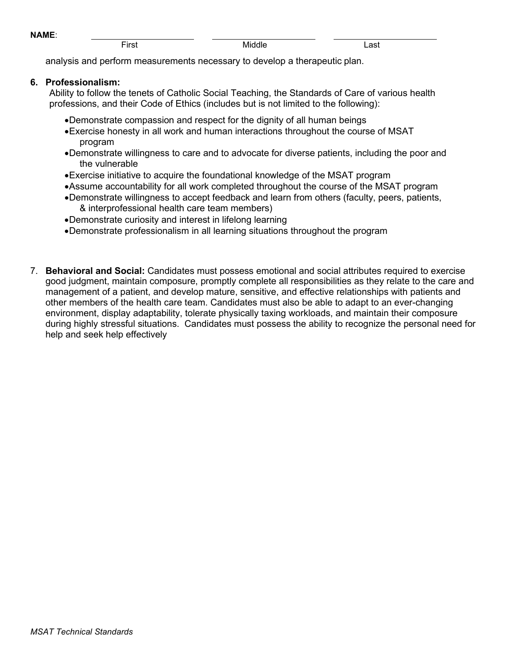First Middle Last

analysis and perform measurements necessary to develop a therapeutic plan.

## **6. Professionalism:**

Ability to follow the tenets of Catholic Social Teaching, the Standards of Care of various health professions, and their Code of Ethics (includes but is not limited to the following):

- •Demonstrate compassion and respect for the dignity of all human beings
- •Exercise honesty in all work and human interactions throughout the course of MSAT program
- •Demonstrate willingness to care and to advocate for diverse patients, including the poor and the vulnerable
- •Exercise initiative to acquire the foundational knowledge of the MSAT program
- •Assume accountability for all work completed throughout the course of the MSAT program
- •Demonstrate willingness to accept feedback and learn from others (faculty, peers, patients, & interprofessional health care team members)
- •Demonstrate curiosity and interest in lifelong learning
- •Demonstrate professionalism in all learning situations throughout the program
- 7. **Behavioral and Social:** Candidates must possess emotional and social attributes required to exercise good judgment, maintain composure, promptly complete all responsibilities as they relate to the care and management of a patient, and develop mature, sensitive, and effective relationships with patients and other members of the health care team. Candidates must also be able to adapt to an ever-changing environment, display adaptability, tolerate physically taxing workloads, and maintain their composure during highly stressful situations. Candidates must possess the ability to recognize the personal need for help and seek help effectively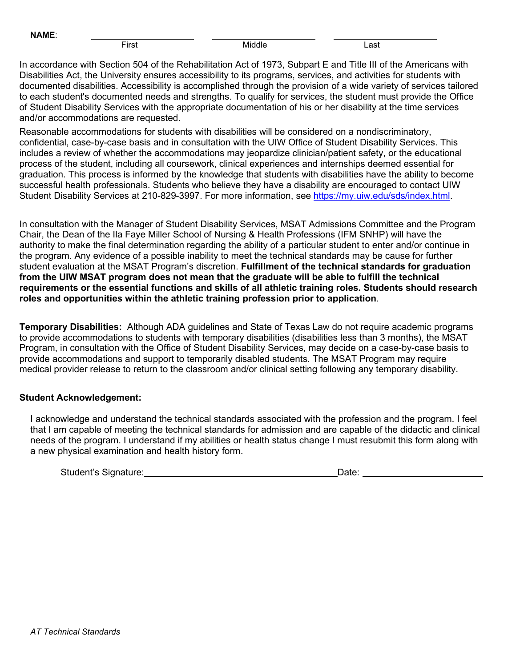First Middle Last

In accordance with Section 504 of the Rehabilitation Act of 1973, Subpart E and Title III of the Americans with Disabilities Act, the University ensures accessibility to its programs, services, and activities for students with documented disabilities. Accessibility is accomplished through the provision of a wide variety of services tailored to each student's documented needs and strengths. To qualify for services, the student must provide the Office of Student Disability Services with the appropriate documentation of his or her disability at the time services and/or accommodations are requested.

Reasonable accommodations for students with disabilities will be considered on a nondiscriminatory, confidential, case-by-case basis and in consultation with the UIW Office of Student Disability Services. This includes a review of whether the accommodations may jeopardize clinician/patient safety, or the educational process of the student, including all coursework, clinical experiences and internships deemed essential for graduation. This process is informed by the knowledge that students with disabilities have the ability to become successful health professionals. Students who believe they have a disability are encouraged to contact UIW Student Disability Services at 210-829-3997. For more information, see [https://my.uiw.edu/sds/index.html.](https://my.uiw.edu/sds/index.html)

In consultation with the Manager of Student Disability Services, MSAT Admissions Committee and the Program Chair, the Dean of the Ila Faye Miller School of Nursing & Health Professions (IFM SNHP) will have the authority to make the final determination regarding the ability of a particular student to enter and/or continue in the program. Any evidence of a possible inability to meet the technical standards may be cause for further student evaluation at the MSAT Program's discretion. **Fulfillment of the technical standards for graduation from the UIW MSAT program does not mean that the graduate will be able to fulfill the technical requirements or the essential functions and skills of all athletic training roles. Students should research roles and opportunities within the athletic training profession prior to application**.

**Temporary Disabilities:** Although ADA guidelines and State of Texas Law do not require academic programs to provide accommodations to students with temporary disabilities (disabilities less than 3 months), the MSAT Program, in consultation with the Office of Student Disability Services, may decide on a case-by-case basis to provide accommodations and support to temporarily disabled students. The MSAT Program may require medical provider release to return to the classroom and/or clinical setting following any temporary disability.

## **Student Acknowledgement:**

I acknowledge and understand the technical standards associated with the profession and the program. I feel that I am capable of meeting the technical standards for admission and are capable of the didactic and clinical needs of the program. I understand if my abilities or health status change I must resubmit this form along with a new physical examination and health history form.

Student's Signature: Date: Date: Date: Date: Date: Date: